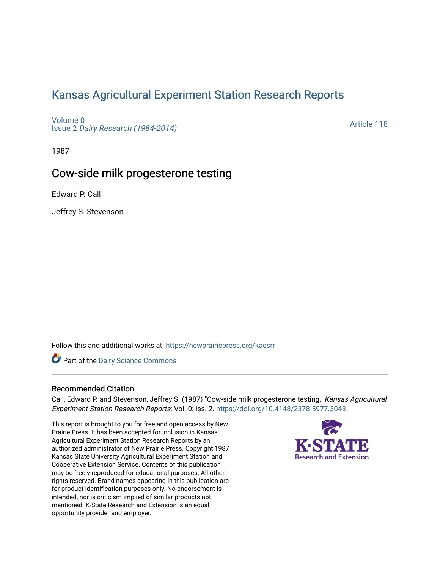# [Kansas Agricultural Experiment Station Research Reports](https://newprairiepress.org/kaesrr)

[Volume 0](https://newprairiepress.org/kaesrr/vol0) Issue 2 [Dairy Research \(1984-2014\)](https://newprairiepress.org/kaesrr/vol0/iss2) 

[Article 118](https://newprairiepress.org/kaesrr/vol0/iss2/118) 

1987

## Cow-side milk progesterone testing

Edward P. Call

Jeffrey S. Stevenson

Follow this and additional works at: [https://newprairiepress.org/kaesrr](https://newprairiepress.org/kaesrr?utm_source=newprairiepress.org%2Fkaesrr%2Fvol0%2Fiss2%2F118&utm_medium=PDF&utm_campaign=PDFCoverPages) 

**Part of the Dairy Science Commons** 

### Recommended Citation

Call, Edward P. and Stevenson, Jeffrey S. (1987) "Cow-side milk progesterone testing," Kansas Agricultural Experiment Station Research Reports: Vol. 0: Iss. 2. <https://doi.org/10.4148/2378-5977.3043>

This report is brought to you for free and open access by New Prairie Press. It has been accepted for inclusion in Kansas Agricultural Experiment Station Research Reports by an authorized administrator of New Prairie Press. Copyright 1987 Kansas State University Agricultural Experiment Station and Cooperative Extension Service. Contents of this publication may be freely reproduced for educational purposes. All other rights reserved. Brand names appearing in this publication are for product identification purposes only. No endorsement is intended, nor is criticism implied of similar products not mentioned. K-State Research and Extension is an equal opportunity provider and employer.

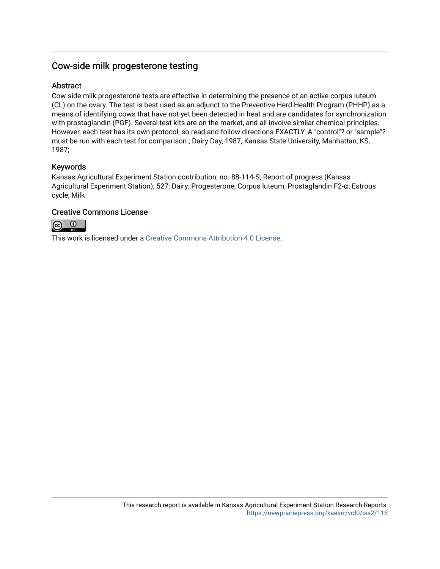## Cow-side milk progesterone testing

## **Abstract**

Cow-side milk progesterone tests are effective in determining the presence of an active corpus luteum (CL) on the ovary. The test is best used as an adjunct to the Preventive Herd Health Program (PHHP) as a means of identifying cows that have not yet been detected in heat and are candidates for synchronization with prostaglandin (PGF). Several test kits are on the market, and all involve similar chemical principles. However, each test has its own protocol, so read and follow directions EXACTLY. A "control"? or "sample"? must be run with each test for comparison.; Dairy Day, 1987, Kansas State University, Manhattan, KS, 1987;

## Keywords

Kansas Agricultural Experiment Station contribution; no. 88-114-S; Report of progress (Kansas Agricultural Experiment Station); 527; Dairy; Progesterone; Corpus luteum; Prostaglandin F2-α; Estrous cycle; Milk

### Creative Commons License



This work is licensed under a [Creative Commons Attribution 4.0 License](https://creativecommons.org/licenses/by/4.0/).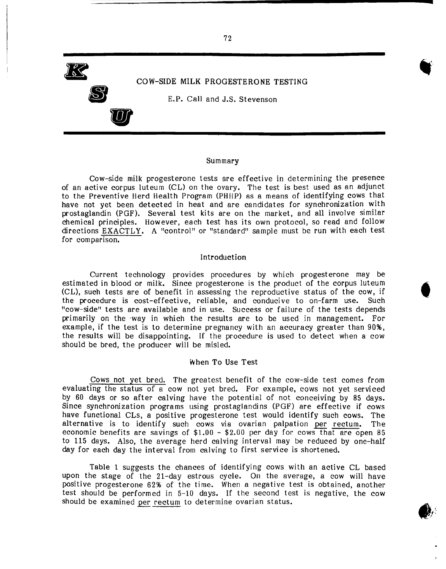

#### Summary

Cow-side milk progesterone tests are effective in determining the presence of an active corpus luteum (CL) on the ovary. The test is best used as an adjunct to the Preventive Herd Health Program (PHHP) as a means of identifying cows that have not yet been detected in heat and are candidates for synchronization with prostaglandin (PGF). Several test kits are on the market, and all involve similar chemical principles. However, each test has its own protocol, so read and follow directions EXACTLY. A "control" or "standard" sample must be run with each test for comparison.

#### Introduction

Current technology provides procedures by which progesterone may be estimated in blood or milk. Since progesterone is the product of the corpus luteum (CL), such tests are of benefit in assessing the reproductive status of the cow, if the procedure is cost-effective, reliable, and conducive to on-farm use. Such "cow-side" tests are available and in use. Success or failure of the tests depends primarily on the 'way in which the results are to be used in management. For example, if the test is to determine pregnancy with an accuracy greater than 90%, the results will be disappointing. If the procedure is used to detect when a cow should be bred, the producer will be misled.

#### When To Use Test

Cows not yet bred. The greatest benefit of the cow-side test comes from evaluating the status of a cow not yet bred. For example, cows not yet serviced by 60 days or so after calving have the potential of not conceiving by 85 days. Since synchronization programs using prostaglandins (PGF) are effective if cows have functional CLs, a positive progesterone test would identify such cows. The alternative is to identify such cows via ovarian palpation per rectum. The economic benefits are savings of  $$1.00 - $2.00$  per day for cows that are open 85 to 115 days. Also, the average herd calving interval may be reduced by one-half day for each day the interval from calving to first service is shortened.

Table 1 suggests the chances of identifying cows with an active CL based upon the stage of the 21-day estrous cycle. On the average, a cow will have positive progesterone 62% of the time. When a negative test is obtained, another test should be performed in 5-10 days. If the second test is negative, the cow should be examined per rectum to determine ovarian status.

**c**